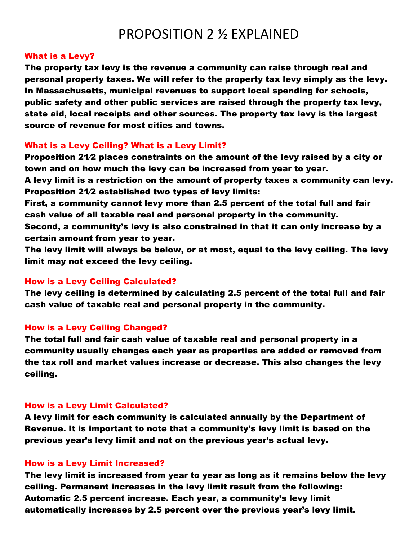# PROPOSITION 2 ½ EXPLAINED

## What is a Levy?

The property tax levy is the revenue a community can raise through real and personal property taxes. We will refer to the property tax levy simply as the levy. In Massachusetts, municipal revenues to support local spending for schools, public safety and other public services are raised through the property tax levy, state aid, local receipts and other sources. The property tax levy is the largest source of revenue for most cities and towns.

# What is a Levy Ceiling? What is a Levy Limit?

Proposition 21⁄2 places constraints on the amount of the levy raised by a city or town and on how much the levy can be increased from year to year.

A levy limit is a restriction on the amount of property taxes a community can levy. Proposition 21⁄2 established two types of levy limits:

First, a community cannot levy more than 2.5 percent of the total full and fair cash value of all taxable real and personal property in the community.

Second, a community's levy is also constrained in that it can only increase by a certain amount from year to year.

The levy limit will always be below, or at most, equal to the levy ceiling. The levy limit may not exceed the levy ceiling.

# How is a Levy Ceiling Calculated?

The levy ceiling is determined by calculating 2.5 percent of the total full and fair cash value of taxable real and personal property in the community.

## How is a Levy Ceiling Changed?

The total full and fair cash value of taxable real and personal property in a community usually changes each year as properties are added or removed from the tax roll and market values increase or decrease. This also changes the levy ceiling.

## How is a Levy Limit Calculated?

A levy limit for each community is calculated annually by the Department of Revenue. It is important to note that a community's levy limit is based on the previous year's levy limit and not on the previous year's actual levy.

## How is a Levy Limit Increased?

The levy limit is increased from year to year as long as it remains below the levy ceiling. Permanent increases in the levy limit result from the following: Automatic 2.5 percent increase. Each year, a community's levy limit automatically increases by 2.5 percent over the previous year's levy limit.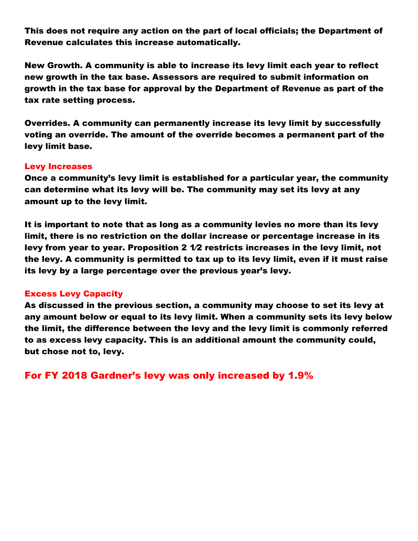This does not require any action on the part of local officials; the Department of Revenue calculates this increase automatically.

New Growth. A community is able to increase its levy limit each year to reflect new growth in the tax base. Assessors are required to submit information on growth in the tax base for approval by the Department of Revenue as part of the tax rate setting process.

Overrides. A community can permanently increase its levy limit by successfully voting an override. The amount of the override becomes a permanent part of the levy limit base.

# Levy Increases

Once a community's levy limit is established for a particular year, the community can determine what its levy will be. The community may set its levy at any amount up to the levy limit.

It is important to note that as long as a community levies no more than its levy limit, there is no restriction on the dollar increase or percentage increase in its levy from year to year. Proposition 2 1⁄2 restricts increases in the levy limit, not the levy. A community is permitted to tax up to its levy limit, even if it must raise its levy by a large percentage over the previous year's levy.

# Excess Levy Capacity

As discussed in the previous section, a community may choose to set its levy at any amount below or equal to its levy limit. When a community sets its levy below the limit, the difference between the levy and the levy limit is commonly referred to as excess levy capacity. This is an additional amount the community could, but chose not to, levy.

For FY 2018 Gardner's levy was only increased by 1.9%